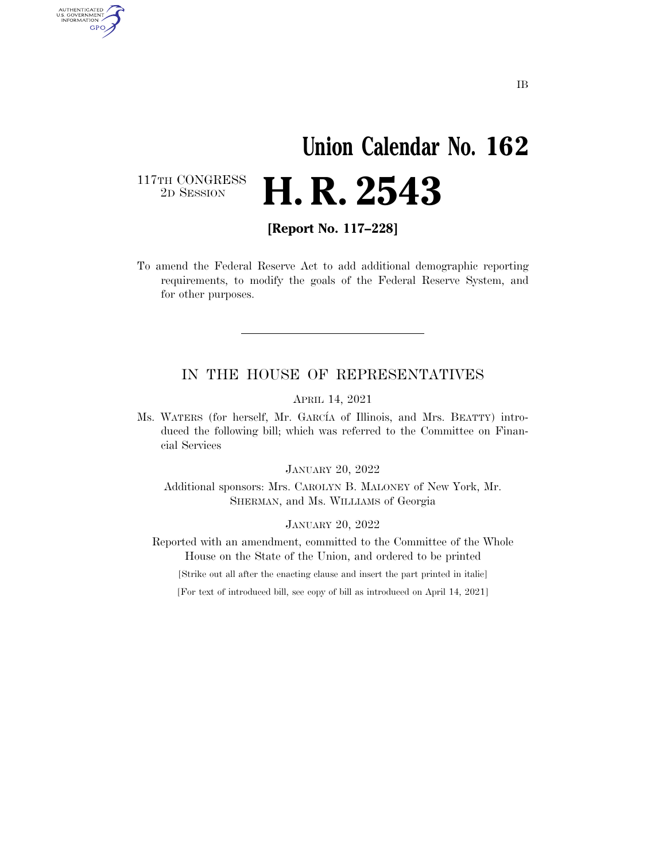## **Union Calendar No. 162 H. R. 2543**

117TH CONGRESS<br>2D SESSION

AUTHENTICATED<br>U.S. GOVERNMENT<br>INFORMATION **GPO** 

**[Report No. 117–228]** 

To amend the Federal Reserve Act to add additional demographic reporting requirements, to modify the goals of the Federal Reserve System, and for other purposes.

## IN THE HOUSE OF REPRESENTATIVES

APRIL 14, 2021

Ms. WATERS (for herself, Mr. GARCIA of Illinois, and Mrs. BEATTY) introduced the following bill; which was referred to the Committee on Financial Services

JANUARY 20, 2022

Additional sponsors: Mrs. CAROLYN B. MALONEY of New York, Mr. SHERMAN, and Ms. WILLIAMS of Georgia

JANUARY 20, 2022

Reported with an amendment, committed to the Committee of the Whole House on the State of the Union, and ordered to be printed

[Strike out all after the enacting clause and insert the part printed in italic]

[For text of introduced bill, see copy of bill as introduced on April 14, 2021]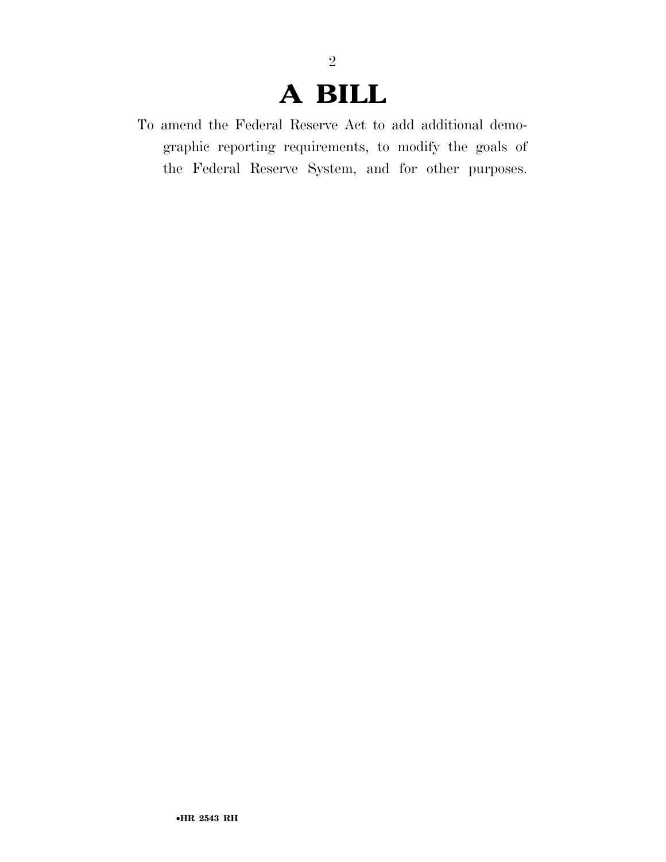## **A BILL**

2

To amend the Federal Reserve Act to add additional demographic reporting requirements, to modify the goals of the Federal Reserve System, and for other purposes.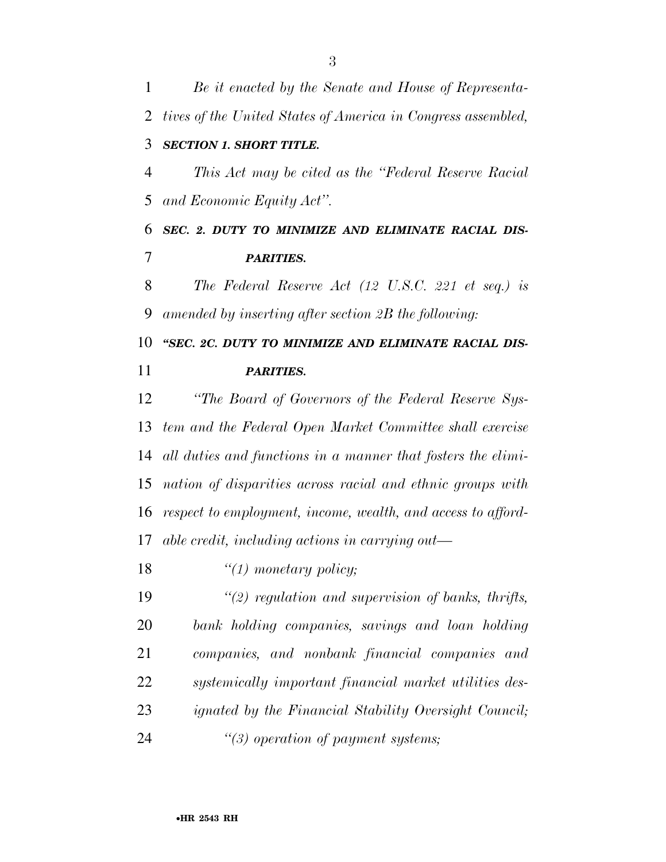*Be it enacted by the Senate and House of Representa- tives of the United States of America in Congress assembled, SECTION 1. SHORT TITLE. This Act may be cited as the ''Federal Reserve Racial and Economic Equity Act''. SEC. 2. DUTY TO MINIMIZE AND ELIMINATE RACIAL DIS- PARITIES. The Federal Reserve Act (12 U.S.C. 221 et seq.) is amended by inserting after section 2B the following: ''SEC. 2C. DUTY TO MINIMIZE AND ELIMINATE RACIAL DIS- PARITIES. ''The Board of Governors of the Federal Reserve Sys- tem and the Federal Open Market Committee shall exercise all duties and functions in a manner that fosters the elimi- nation of disparities across racial and ethnic groups with respect to employment, income, wealth, and access to afford- able credit, including actions in carrying out— ''(1) monetary policy; ''(2) regulation and supervision of banks, thrifts, bank holding companies, savings and loan holding companies, and nonbank financial companies and systemically important financial market utilities des-ignated by the Financial Stability Oversight Council;* 

*''(3) operation of payment systems;*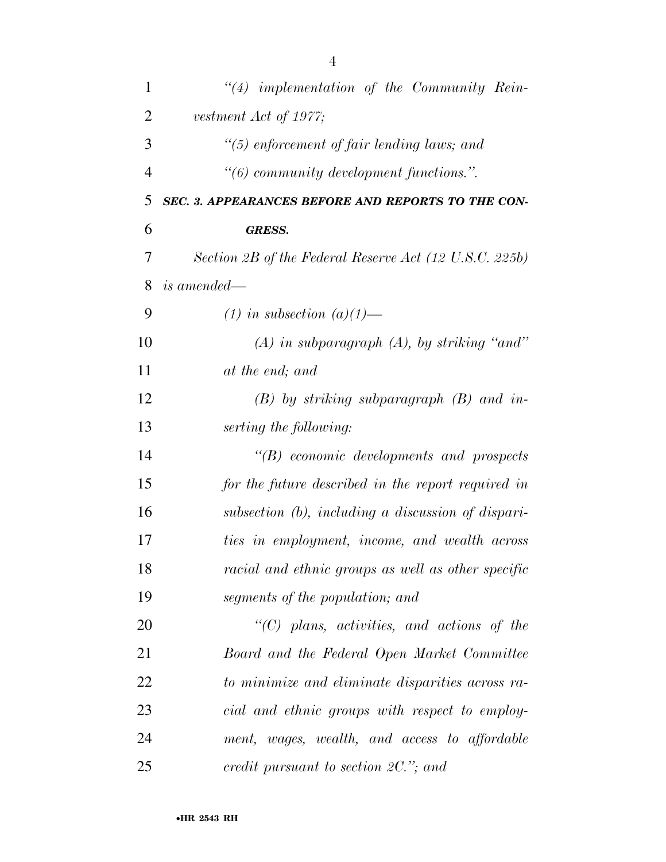| 1              | $"(4)$ implementation of the Community Rein-           |
|----------------|--------------------------------------------------------|
| $\overline{2}$ | vestment Act of 1977;                                  |
| 3              | "(5) enforcement of fair lending laws; and             |
| $\overline{4}$ | $\lq\lq (6)$ community development functions.".        |
| 5              | SEC. 3. APPEARANCES BEFORE AND REPORTS TO THE CON-     |
| 6              | <b>GRESS.</b>                                          |
| 7              | Section 2B of the Federal Reserve Act (12 U.S.C. 225b) |
| 8              | is amended—                                            |
| 9              | $(1)$ in subsection $(a)(1)$ —                         |
| 10             | $(A)$ in subparagraph $(A)$ , by striking "and"        |
| 11             | at the end; and                                        |
| 12             | $(B)$ by striking subparagraph $(B)$ and in-           |
| 13             | serting the following:                                 |
| 14             | $\lq\lq B$ economic developments and prospects         |
| 15             | for the future described in the report required in     |
| 16             | subsection $(b)$ , including a discussion of dispari-  |
| 17             | ties in employment, income, and wealth across          |
| 18             | racial and ethnic groups as well as other specific     |
| 19             | segments of the population; and                        |
| 20             | $"$ (C) plans, activities, and actions of the          |
| 21             | Board and the Federal Open Market Committee            |
| 22             | to minimize and eliminate disparities across ra-       |
| 23             | cial and ethnic groups with respect to employ-         |
| 24             | ment, wages, wealth, and access to affordable          |
| 25             | credit pursuant to section $2C$ ,"; and                |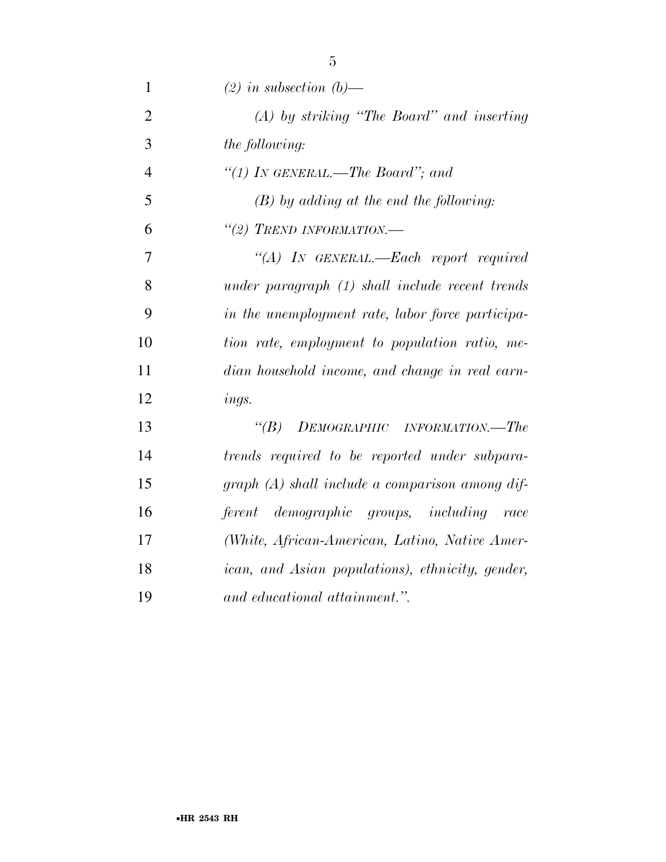| $\mathbf{1}$   | $(2)$ in subsection $(b)$ —                       |
|----------------|---------------------------------------------------|
| $\overline{2}$ | $(A)$ by striking "The Board" and inserting       |
| 3              | <i>the following:</i>                             |
| $\overline{4}$ | "(1) IN GENERAL.—The Board"; and                  |
| 5              | $(B)$ by adding at the end the following:         |
| 6              | "(2) TREND INFORMATION.-                          |
| 7              | "(A) IN GENERAL.—Each report required             |
| 8              | under paragraph $(1)$ shall include recent trends |
| 9              | in the unemployment rate, labor force participa-  |
| 10             | tion rate, employment to population ratio, me-    |
| 11             | dian household income, and change in real earn-   |
| 12             | ings.                                             |
| 13             | $\lq(B)$<br>DEMOGRAPHIC INFORMATION.—The          |
| 14             | trends required to be reported under subpara-     |
| 15             | graph (A) shall include a comparison among dif-   |
| 16             | ferent demographic groups, including race         |
| 17             | (White, African-American, Latino, Native Amer-    |
| 18             | ican, and Asian populations), ethnicity, gender,  |
| 19             | and educational attainment.".                     |